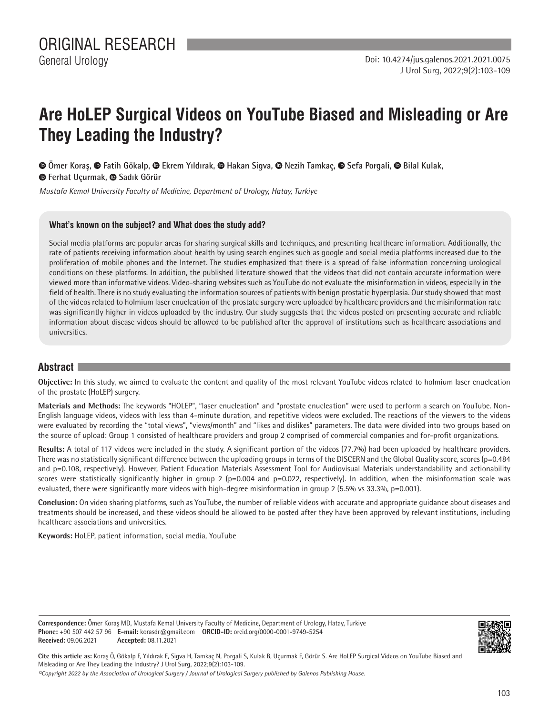# **Are HoLEP Surgical Videos on YouTube Biased and Misleading or Are They Leading the Industry?**

 **Ömer Koraş, Fatih Gökalp, Ekrem Yıldırak, Hakan Sigva, Nezih Tamkaç,Sefa Porgali, Bilal Kulak,**  $\bullet$ **Ferhat Uçurmak,**  $\bullet$  **Sadık Görür** 

*Mustafa Kemal University Faculty of Medicine, Department of Urology, Hatay, Turkiye*

#### **What's known on the subject? and What does the study add?**

Social media platforms are popular areas for sharing surgical skills and techniques, and presenting healthcare information. Additionally, the rate of patients receiving information about health by using search engines such as google and social media platforms increased due to the proliferation of mobile phones and the Internet. The studies emphasized that there is a spread of false information concerning urological conditions on these platforms. In addition, the published literature showed that the videos that did not contain accurate information were viewed more than informative videos. Video-sharing websites such as YouTube do not evaluate the misinformation in videos, especially in the field of health. There is no study evaluating the information sources of patients with benign prostatic hyperplasia. Our study showed that most of the videos related to holmium laser enucleation of the prostate surgery were uploaded by healthcare providers and the misinformation rate was significantly higher in videos uploaded by the industry. Our study suggests that the videos posted on presenting accurate and reliable information about disease videos should be allowed to be published after the approval of institutions such as healthcare associations and universities.

# **Abstract**

**Objective:** In this study, we aimed to evaluate the content and quality of the most relevant YouTube videos related to holmium laser enucleation of the prostate (HoLEP) surgery.

**Materials and Methods:** The keywords "HOLEP", "laser enucleation" and "prostate enucleation" were used to perform a search on YouTube. Non-English language videos, videos with less than 4-minute duration, and repetitive videos were excluded. The reactions of the viewers to the videos were evaluated by recording the "total views", "views/month" and "likes and dislikes" parameters. The data were divided into two groups based on the source of upload: Group 1 consisted of healthcare providers and group 2 comprised of commercial companies and for-profit organizations.

**Results:** A total of 117 videos were included in the study. A significant portion of the videos (77.7%) had been uploaded by healthcare providers. There was no statistically significant difference between the uploading groups in terms of the DISCERN and the Global Quality score, scores ( $p=0.484$ ) and p=0.108, respectively). However, Patient Education Materials Assessment Tool for Audiovisual Materials understandability and actionability scores were statistically significantly higher in group 2 ( $p=0.004$  and  $p=0.022$ , respectively). In addition, when the misinformation scale was evaluated, there were significantly more videos with high-degree misinformation in group 2 (5.5% vs 33.3%, p=0.001).

**Conclusion:** On video sharing platforms, such as YouTube, the number of reliable videos with accurate and appropriate guidance about diseases and treatments should be increased, and these videos should be allowed to be posted after they have been approved by relevant institutions, including healthcare associations and universities.

**Keywords:** HoLEP, patient information, social media, YouTube

**Correspondence:** Ömer Koraş MD, Mustafa Kemal University Faculty of Medicine, Department of Urology, Hatay, Turkiye **Phone:** +90 507 442 57 96 **E-mail:** korasdr@gmail.com **ORCID-ID:** orcid.org/0000-0001-9749-5254 **Received:** 09.06.2021 **Accepted:** 08.11.2021



**Cite this article as:** Koraş Ö, Gökalp F, Yıldırak E, Sigva H, Tamkaç N, Porgali S, Kulak B, Uçurmak F, Görür S. Are HoLEP Surgical Videos on YouTube Biased and Misleading or Are They Leading the Industry? J Urol Surg, 2022;9(2):103-109.

*©Copyright 2022 by the Association of Urological Surgery / Journal of Urological Surgery published by Galenos Publishing House.*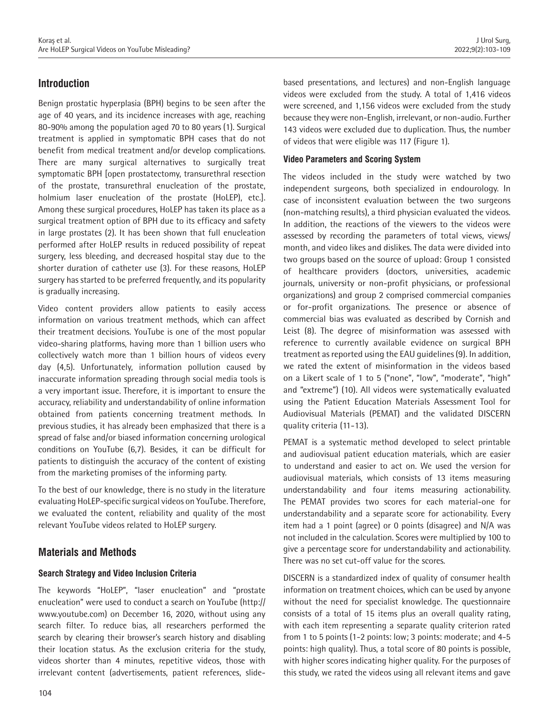# **Introduction**

Benign prostatic hyperplasia (BPH) begins to be seen after the age of 40 years, and its incidence increases with age, reaching 80-90% among the population aged 70 to 80 years (1). Surgical treatment is applied in symptomatic BPH cases that do not benefit from medical treatment and/or develop complications. There are many surgical alternatives to surgically treat symptomatic BPH [open prostatectomy, transurethral resection of the prostate, transurethral enucleation of the prostate, holmium laser enucleation of the prostate (HoLEP), etc.]. Among these surgical procedures, HoLEP has taken its place as a surgical treatment option of BPH due to its efficacy and safety in large prostates (2). It has been shown that full enucleation performed after HoLEP results in reduced possibility of repeat surgery, less bleeding, and decreased hospital stay due to the shorter duration of catheter use (3). For these reasons, HoLEP surgery has started to be preferred frequently, and its popularity is gradually increasing.

Video content providers allow patients to easily access information on various treatment methods, which can affect their treatment decisions. YouTube is one of the most popular video-sharing platforms, having more than 1 billion users who collectively watch more than 1 billion hours of videos every day (4,5). Unfortunately, information pollution caused by inaccurate information spreading through social media tools is a very important issue. Therefore, it is important to ensure the accuracy, reliability and understandability of online information obtained from patients concerning treatment methods. In previous studies, it has already been emphasized that there is a spread of false and/or biased information concerning urological conditions on YouTube (6,7). Besides, it can be difficult for patients to distinguish the accuracy of the content of existing from the marketing promises of the informing party.

To the best of our knowledge, there is no study in the literature evaluating HoLEP-specific surgical videos on YouTube. Therefore, we evaluated the content, reliability and quality of the most relevant YouTube videos related to HoLEP surgery.

# **Materials and Methods**

# **Search Strategy and Video Inclusion Criteria**

The keywords "HoLEP", "laser enucleation" and "prostate enucleation" were used to conduct a search on YouTube (http:// www.youtube.com) on December 16, 2020, without using any search filter. To reduce bias, all researchers performed the search by clearing their browser's search history and disabling their location status. As the exclusion criteria for the study, videos shorter than 4 minutes, repetitive videos, those with irrelevant content (advertisements, patient references, slidebased presentations, and lectures) and non-English language videos were excluded from the study. A total of 1,416 videos were screened, and 1,156 videos were excluded from the study because they were non-English, irrelevant, or non-audio. Further 143 videos were excluded due to duplication. Thus, the number of videos that were eligible was 117 (Figure 1).

## **Video Parameters and Scoring System**

The videos included in the study were watched by two independent surgeons, both specialized in endourology. In case of inconsistent evaluation between the two surgeons (non-matching results), a third physician evaluated the videos. In addition, the reactions of the viewers to the videos were assessed by recording the parameters of total views, views/ month, and video likes and dislikes. The data were divided into two groups based on the source of upload: Group 1 consisted of healthcare providers (doctors, universities, academic journals, university or non-profit physicians, or professional organizations) and group 2 comprised commercial companies or for-profit organizations. The presence or absence of commercial bias was evaluated as described by Cornish and Leist (8). The degree of misinformation was assessed with reference to currently available evidence on surgical BPH treatment as reported using the EAU guidelines (9). In addition, we rated the extent of misinformation in the videos based on a Likert scale of 1 to 5 ("none", "low", "moderate", "high" and "extreme") (10). All videos were systematically evaluated using the Patient Education Materials Assessment Tool for Audiovisual Materials (PEMAT) and the validated DISCERN quality criteria (11-13).

PEMAT is a systematic method developed to select printable and audiovisual patient education materials, which are easier to understand and easier to act on. We used the version for audiovisual materials, which consists of 13 items measuring understandability and four items measuring actionability. The PEMAT provides two scores for each material-one for understandability and a separate score for actionability. Every item had a 1 point (agree) or 0 points (disagree) and N/A was not included in the calculation. Scores were multiplied by 100 to give a percentage score for understandability and actionability. There was no set cut-off value for the scores.

DISCERN is a standardized index of quality of consumer health information on treatment choices, which can be used by anyone without the need for specialist knowledge. The questionnaire consists of a total of 15 items plus an overall quality rating, with each item representing a separate quality criterion rated from 1 to 5 points (1-2 points: low; 3 points: moderate; and 4-5 points: high quality). Thus, a total score of 80 points is possible, with higher scores indicating higher quality. For the purposes of this study, we rated the videos using all relevant items and gave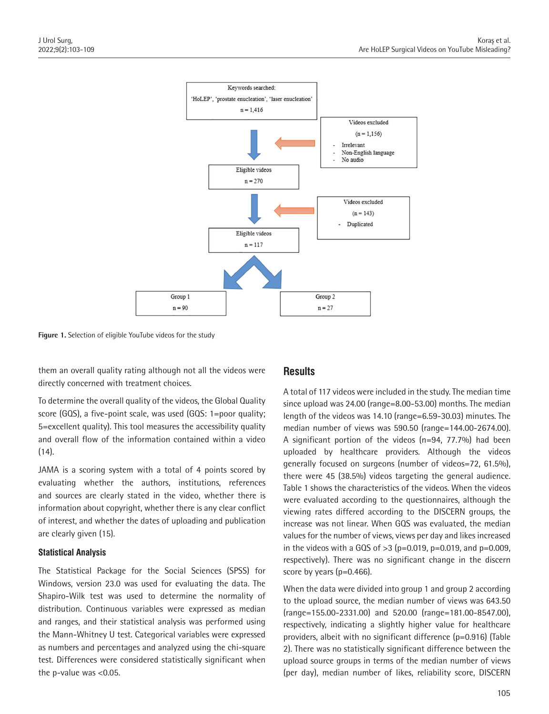

**Figure 1.** Selection of eligible YouTube videos for the study

them an overall quality rating although not all the videos were directly concerned with treatment choices.

To determine the overall quality of the videos, the Global Quality score (GQS), a five-point scale, was used (GQS: 1=poor quality; 5=excellent quality). This tool measures the accessibility quality and overall flow of the information contained within a video (14).

JAMA is a scoring system with a total of 4 points scored by evaluating whether the authors, institutions, references and sources are clearly stated in the video, whether there is information about copyright, whether there is any clear conflict of interest, and whether the dates of uploading and publication are clearly given (15).

#### **Statistical Analysis**

The Statistical Package for the Social Sciences (SPSS) for Windows, version 23.0 was used for evaluating the data. The Shapiro-Wilk test was used to determine the normality of distribution. Continuous variables were expressed as median and ranges, and their statistical analysis was performed using the Mann-Whitney U test. Categorical variables were expressed as numbers and percentages and analyzed using the chi-square test. Differences were considered statistically significant when the p-value was <0.05.

# **Results**

A total of 117 videos were included in the study. The median time since upload was 24.00 (range=8.00-53.00) months. The median length of the videos was 14.10 (range=6.59-30.03) minutes. The median number of views was 590.50 (range=144.00-2674.00). A significant portion of the videos (n=94, 77.7%) had been uploaded by healthcare providers. Although the videos generally focused on surgeons (number of videos=72, 61.5%), there were 45 (38.5%) videos targeting the general audience. Table 1 shows the characteristics of the videos. When the videos were evaluated according to the questionnaires, although the viewing rates differed according to the DISCERN groups, the increase was not linear. When GQS was evaluated, the median values for the number of views, views per day and likes increased in the videos with a GQS of  $>3$  (p=0.019, p=0.019, and p=0.009, respectively). There was no significant change in the discern score by years (p=0.466).

When the data were divided into group 1 and group 2 according to the upload source, the median number of views was 643.50 (range=155.00-2331.00) and 520.00 (range=181.00-8547.00), respectively, indicating a slightly higher value for healthcare providers, albeit with no significant difference (p=0.916) (Table 2). There was no statistically significant difference between the upload source groups in terms of the median number of views (per day), median number of likes, reliability score, DISCERN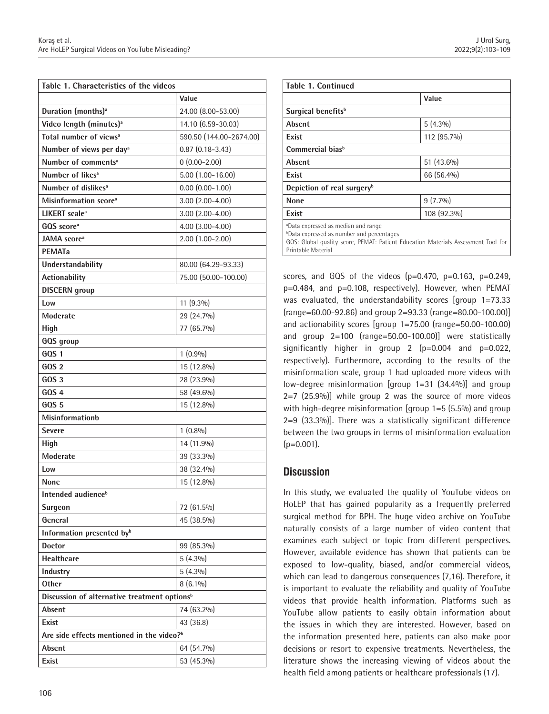| Table 1. Characteristics of the videos                   |                         |  |  |  |
|----------------------------------------------------------|-------------------------|--|--|--|
|                                                          | Value                   |  |  |  |
| Duration (months) <sup>a</sup>                           | 24.00 (8.00-53.00)      |  |  |  |
| Video length (minutes) <sup>a</sup>                      | 14.10 (6.59-30.03)      |  |  |  |
| Total number of views <sup>a</sup>                       | 590.50 (144.00-2674.00) |  |  |  |
| Number of views per day <sup>a</sup>                     | $0.87$ $(0.18 - 3.43)$  |  |  |  |
| Number of comments <sup>a</sup>                          | $0(0.00-2.00)$          |  |  |  |
| Number of likes <sup>a</sup>                             | 5.00 (1.00-16.00)       |  |  |  |
| Number of dislikes <sup>a</sup>                          | $0.00$ $(0.00 - 1.00)$  |  |  |  |
| Misinformation score <sup>a</sup>                        | $3.00$ $(2.00-4.00)$    |  |  |  |
| LIKERT scale <sup>a</sup>                                | $3.00$ $(2.00-4.00)$    |  |  |  |
| GQS score <sup>a</sup>                                   | 4.00 (3.00-4.00)        |  |  |  |
| JAMA score <sup>a</sup>                                  | $2.00(1.00-2.00)$       |  |  |  |
| <b>PEMATa</b>                                            |                         |  |  |  |
| Understandability                                        | 80.00 (64.29-93.33)     |  |  |  |
| <b>Actionability</b>                                     | 75.00 (50.00-100.00)    |  |  |  |
| <b>DISCERN</b> group                                     |                         |  |  |  |
| Low                                                      | 11 (9.3%)               |  |  |  |
| Moderate                                                 | 29 (24.7%)              |  |  |  |
| High                                                     | 77 (65.7%)              |  |  |  |
| GQS group                                                |                         |  |  |  |
| GOS <sub>1</sub>                                         | $1(0.9\%)$              |  |  |  |
| GOS <sub>2</sub>                                         | 15 (12.8%)              |  |  |  |
| GOS <sub>3</sub>                                         | 28 (23.9%)              |  |  |  |
| GOS <sub>4</sub>                                         | 58 (49.6%)              |  |  |  |
| GQS 5                                                    | 15 (12.8%)              |  |  |  |
| <b>Misinformationb</b>                                   |                         |  |  |  |
| <b>Severe</b>                                            | $1(0.8\%)$              |  |  |  |
| High                                                     | 14 (11.9%)              |  |  |  |
| Moderate                                                 | 39 (33.3%)              |  |  |  |
| Low                                                      | 38 (32.4%)              |  |  |  |
| None                                                     | 15 (12.8%)              |  |  |  |
| Intended audience <sup>b</sup>                           |                         |  |  |  |
| <b>Surgeon</b>                                           | 72 (61.5%)              |  |  |  |
| General                                                  | 45 (38.5%)              |  |  |  |
| Information presented by <sup>b</sup>                    |                         |  |  |  |
| <b>Doctor</b>                                            | 99 (85.3%)              |  |  |  |
| <b>Healthcare</b>                                        | $5(4.3\%)$              |  |  |  |
| Industry                                                 | $5(4.3\%)$              |  |  |  |
| <b>Other</b>                                             | $8(6.1\%)$              |  |  |  |
| Discussion of alternative treatment options <sup>b</sup> |                         |  |  |  |
| Absent                                                   | 74 (63.2%)              |  |  |  |
| Exist                                                    | 43 (36.8)               |  |  |  |
| Are side effects mentioned in the video? <sup>b</sup>    |                         |  |  |  |
| Absent                                                   | 64 (54.7%)              |  |  |  |
| Exist                                                    |                         |  |  |  |
|                                                          | 53 (45.3%)              |  |  |  |

| <b>Table 1. Continued</b>                                                                                                                                                                                 |             |  |
|-----------------------------------------------------------------------------------------------------------------------------------------------------------------------------------------------------------|-------------|--|
|                                                                                                                                                                                                           | Value       |  |
| Surgical benefits <sup>b</sup>                                                                                                                                                                            |             |  |
| Absent                                                                                                                                                                                                    | $5(4.3\%)$  |  |
| Exist                                                                                                                                                                                                     | 112 (95.7%) |  |
| Commercial bias <sup>b</sup>                                                                                                                                                                              |             |  |
| Absent                                                                                                                                                                                                    | 51 (43.6%)  |  |
| <b>Fxist</b>                                                                                                                                                                                              | 66 (56.4%)  |  |
| Depiction of real surgery <sup>b</sup>                                                                                                                                                                    |             |  |
| <b>None</b>                                                                                                                                                                                               | $9(7.7\%)$  |  |
| Exist                                                                                                                                                                                                     | 108 (92.3%) |  |
| <b>aData expressed as median and range</b><br><b>bData expressed as number and percentages</b><br>GQS: Global quality score, PEMAT: Patient Education Materials Assessment Tool for<br>Printable Material |             |  |

scores, and GQS of the videos  $(p=0.470, p=0.163, p=0.249,$ p=0.484, and p=0.108, respectively). However, when PEMAT was evaluated, the understandability scores [group 1=73.33 (range=60.00-92.86) and group 2=93.33 (range=80.00-100.00)] and actionability scores [group 1=75.00 (range=50.00-100.00) and group 2=100 (range=50.00-100.00)] were statistically significantly higher in group 2  $(p=0.004$  and  $p=0.022$ , respectively). Furthermore, according to the results of the misinformation scale, group 1 had uploaded more videos with low-degree misinformation [group 1=31 (34.4%)] and group 2=7 (25.9%)] while group 2 was the source of more videos with high-degree misinformation [group 1=5 (5.5%) and group 2=9 (33.3%)]. There was a statistically significant difference between the two groups in terms of misinformation evaluation  $(p=0.001)$ .

# **Discussion**

In this study, we evaluated the quality of YouTube videos on HoLEP that has gained popularity as a frequently preferred surgical method for BPH. The huge video archive on YouTube naturally consists of a large number of video content that examines each subject or topic from different perspectives. However, available evidence has shown that patients can be exposed to low-quality, biased, and/or commercial videos, which can lead to dangerous consequences (7,16). Therefore, it is important to evaluate the reliability and quality of YouTube videos that provide health information. Platforms such as YouTube allow patients to easily obtain information about the issues in which they are interested. However, based on the information presented here, patients can also make poor decisions or resort to expensive treatments. Nevertheless, the literature shows the increasing viewing of videos about the health field among patients or healthcare professionals (17).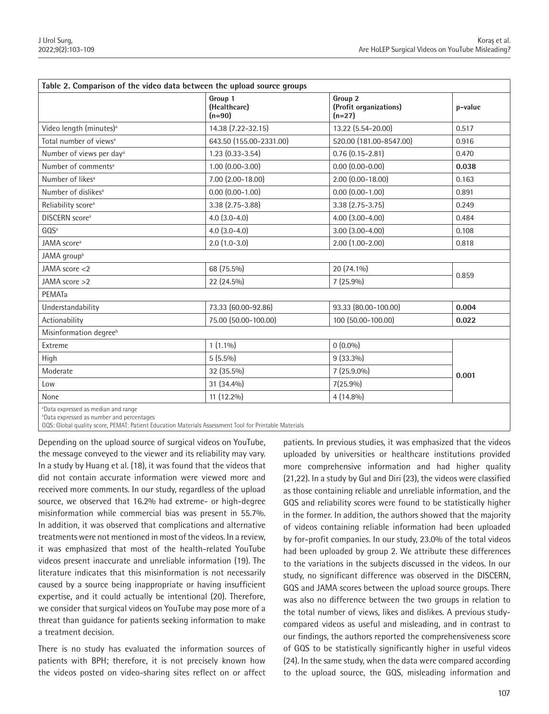| Table 2. Comparison of the video data between the upload source groups |                                     |                                               |         |  |
|------------------------------------------------------------------------|-------------------------------------|-----------------------------------------------|---------|--|
|                                                                        | Group 1<br>(Healthcare)<br>$(n=90)$ | Group 2<br>(Profit organizations)<br>$(n=27)$ | p-value |  |
| Video length (minutes) <sup>a</sup>                                    | 14.38 (7.22-32.15)                  | 13.22 (5.54-20.00)                            | 0.517   |  |
| Total number of views <sup>a</sup>                                     | 643.50 (155.00-2331.00)             | 520.00 (181.00-8547.00)                       | 0.916   |  |
| Number of views per day <sup>a</sup>                                   | $1.23(0.33 - 3.54)$                 | $0.76(0.15 - 2.81)$                           | 0.470   |  |
| Number of comments <sup>a</sup>                                        | $1.00$ $(0.00 - 3.00)$              | $0.00$ $(0.00 - 0.00)$                        | 0.038   |  |
| Number of likes <sup>a</sup>                                           | 7.00 (2.00-18.00)                   | $2.00$ $(0.00 - 18.00)$                       | 0.163   |  |
| Number of dislikes <sup>a</sup>                                        | $0.00$ $(0.00 - 1.00)$              | $0.00$ $(0.00 - 1.00)$                        | 0.891   |  |
| Reliability score <sup>a</sup>                                         | 3.38 (2.75-3.88)                    | $3.38(2.75-3.75)$                             | 0.249   |  |
| <b>DISCERN</b> score <sup>a</sup>                                      | $4.0$ $(3.0-4.0)$                   | $4.00$ $(3.00 - 4.00)$                        | 0.484   |  |
| GOS <sup>a</sup>                                                       | $4.0$ $(3.0-4.0)$                   | $3.00(3.00 - 4.00)$                           | 0.108   |  |
| JAMA score <sup>a</sup>                                                | $2.0$ $(1.0-3.0)$                   | $2.00$ $(1.00 - 2.00)$                        | 0.818   |  |
| JAMA group <sup>b</sup>                                                |                                     |                                               |         |  |
| JAMA score <2                                                          | 68 (75.5%)                          | 20 (74.1%)                                    | 0.859   |  |
| JAMA score >2                                                          | 22 (24.5%)                          | $7(25.9\%)$                                   |         |  |
| PEMATa                                                                 |                                     |                                               |         |  |
| Understandability                                                      | 73.33 (60.00-92.86)                 | 93.33 (80.00-100.00)                          | 0.004   |  |
| Actionability                                                          | 75.00 (50.00-100.00)                | 100 (50.00-100.00)                            | 0.022   |  |
| Misinformation degree <sup>b</sup>                                     |                                     |                                               |         |  |
| Extreme                                                                | $1(1.1\%)$                          | $0(0.0\%)$                                    | 0.001   |  |
| High                                                                   | $5(5.5\%)$                          | $9(33.3\%)$                                   |         |  |
| Moderate                                                               | 32 (35.5%)                          | $7(25.9.0\%)$                                 |         |  |
| Low                                                                    | 31 (34.4%)                          | $7(25.9\%)$                                   |         |  |
| None                                                                   | 11 (12.2%)                          | $4(14.8\%)$                                   |         |  |
| <sup>a</sup> Data expressed as median and range                        |                                     |                                               |         |  |

<sup>b</sup>Data expressed as number and percentages

GQS: Global quality score, PEMAT: Patient Education Materials Assessment Tool for Printable Materials

Depending on the upload source of surgical videos on YouTube, the message conveyed to the viewer and its reliability may vary. In a study by Huang et al. (18), it was found that the videos that did not contain accurate information were viewed more and received more comments. In our study, regardless of the upload source, we observed that 16.2% had extreme- or high-degree misinformation while commercial bias was present in 55.7%. In addition, it was observed that complications and alternative treatments were not mentioned in most of the videos. In a review, it was emphasized that most of the health-related YouTube videos present inaccurate and unreliable information (19). The literature indicates that this misinformation is not necessarily caused by a source being inappropriate or having insufficient expertise, and it could actually be intentional (20). Therefore, we consider that surgical videos on YouTube may pose more of a threat than guidance for patients seeking information to make a treatment decision.

There is no study has evaluated the information sources of patients with BPH; therefore, it is not precisely known how the videos posted on video-sharing sites reflect on or affect

patients. In previous studies, it was emphasized that the videos uploaded by universities or healthcare institutions provided more comprehensive information and had higher quality (21,22). In a study by Gul and Diri (23), the videos were classified as those containing reliable and unreliable information, and the GQS and reliability scores were found to be statistically higher in the former. In addition, the authors showed that the majority of videos containing reliable information had been uploaded by for-profit companies. In our study, 23.0% of the total videos had been uploaded by group 2. We attribute these differences to the variations in the subjects discussed in the videos. In our study, no significant difference was observed in the DISCERN, GQS and JAMA scores between the upload source groups. There was also no difference between the two groups in relation to the total number of views, likes and dislikes. A previous studycompared videos as useful and misleading, and in contrast to our findings, the authors reported the comprehensiveness score of GQS to be statistically significantly higher in useful videos (24). In the same study, when the data were compared according to the upload source, the GQS, misleading information and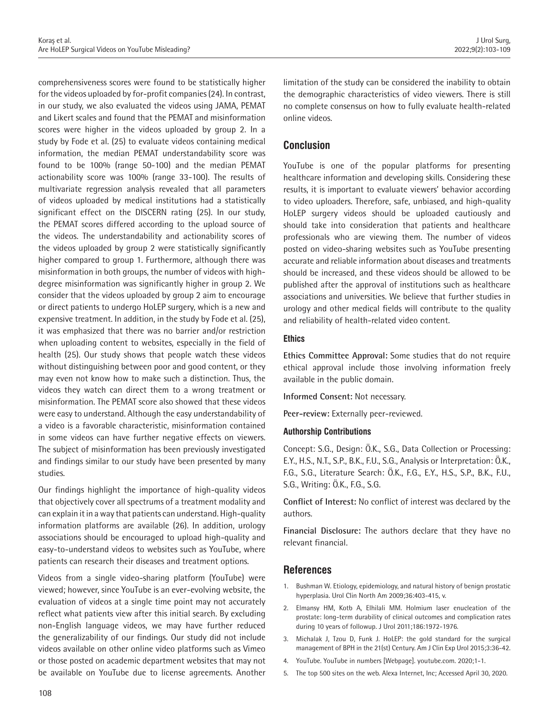comprehensiveness scores were found to be statistically higher for the videos uploaded by for-profit companies (24). In contrast, in our study, we also evaluated the videos using JAMA, PEMAT and Likert scales and found that the PEMAT and misinformation scores were higher in the videos uploaded by group 2. In a study by Fode et al. (25) to evaluate videos containing medical information, the median PEMAT understandability score was found to be 100% (range 50-100) and the median PEMAT actionability score was 100% (range 33-100). The results of multivariate regression analysis revealed that all parameters of videos uploaded by medical institutions had a statistically significant effect on the DISCERN rating (25). In our study, the PEMAT scores differed according to the upload source of the videos. The understandability and actionability scores of the videos uploaded by group 2 were statistically significantly higher compared to group 1. Furthermore, although there was misinformation in both groups, the number of videos with highdegree misinformation was significantly higher in group 2. We consider that the videos uploaded by group 2 aim to encourage or direct patients to undergo HoLEP surgery, which is a new and expensive treatment. In addition, in the study by Fode et al. (25), it was emphasized that there was no barrier and/or restriction when uploading content to websites, especially in the field of health (25). Our study shows that people watch these videos without distinguishing between poor and good content, or they may even not know how to make such a distinction. Thus, the videos they watch can direct them to a wrong treatment or misinformation. The PEMAT score also showed that these videos were easy to understand. Although the easy understandability of a video is a favorable characteristic, misinformation contained in some videos can have further negative effects on viewers. The subject of misinformation has been previously investigated and findings similar to our study have been presented by many studies.

Our findings highlight the importance of high-quality videos that objectively cover all spectrums of a treatment modality and can explain it in a way that patients can understand. High-quality information platforms are available (26). In addition, urology associations should be encouraged to upload high-quality and easy-to-understand videos to websites such as YouTube, where patients can research their diseases and treatment options.

Videos from a single video-sharing platform (YouTube) were viewed; however, since YouTube is an ever-evolving website, the evaluation of videos at a single time point may not accurately reflect what patients view after this initial search. By excluding non-English language videos, we may have further reduced the generalizability of our findings. Our study did not include videos available on other online video platforms such as Vimeo or those posted on academic department websites that may not be available on YouTube due to license agreements. Another

limitation of the study can be considered the inability to obtain the demographic characteristics of video viewers. There is still no complete consensus on how to fully evaluate health-related online videos.

# **Conclusion**

YouTube is one of the popular platforms for presenting healthcare information and developing skills. Considering these results, it is important to evaluate viewers' behavior according to video uploaders. Therefore, safe, unbiased, and high-quality HoLEP surgery videos should be uploaded cautiously and should take into consideration that patients and healthcare professionals who are viewing them. The number of videos posted on video-sharing websites such as YouTube presenting accurate and reliable information about diseases and treatments should be increased, and these videos should be allowed to be published after the approval of institutions such as healthcare associations and universities. We believe that further studies in urology and other medical fields will contribute to the quality and reliability of health-related video content.

## **Ethics**

**Ethics Committee Approval:** Some studies that do not require ethical approval include those involving information freely available in the public domain.

**Informed Consent:** Not necessary.

**Peer-review:** Externally peer-reviewed.

#### **Authorship Contributions**

Concept: S.G., Design: Ö.K., S.G., Data Collection or Processing: E.Y., H.S., N.T., S.P., B.K., F.U., S.G., Analysis or Interpretation: Ö.K., F.G., S.G., Literature Search: Ö.K., F.G., E.Y., H.S., S.P., B.K., F.U., S.G., Writing: Ö.K., F.G., S.G.

**Conflict of Interest:** No conflict of interest was declared by the authors.

**Financial Disclosure:** The authors declare that they have no relevant financial.

# **References**

- 1. Bushman W. Etiology, epidemiology, and natural history of benign prostatic hyperplasia. Urol Clin North Am 2009;36:403-415, v.
- 2. Elmansy HM, Kotb A, Elhilali MM. Holmium laser enucleation of the prostate: long-term durability of clinical outcomes and complication rates during 10 years of followup. J Urol 2011;186:1972-1976.
- 3. Michalak J, Tzou D, Funk J. HoLEP: the gold standard for the surgical management of BPH in the 21(st) Century. Am J Clin Exp Urol 2015;3:36-42.
- 4. YouTube. YouTube in numbers [Webpage]. youtube.com. 2020;1-1.
- 5. The top 500 sites on the web. Alexa Internet, Inc; Accessed April 30, 2020.